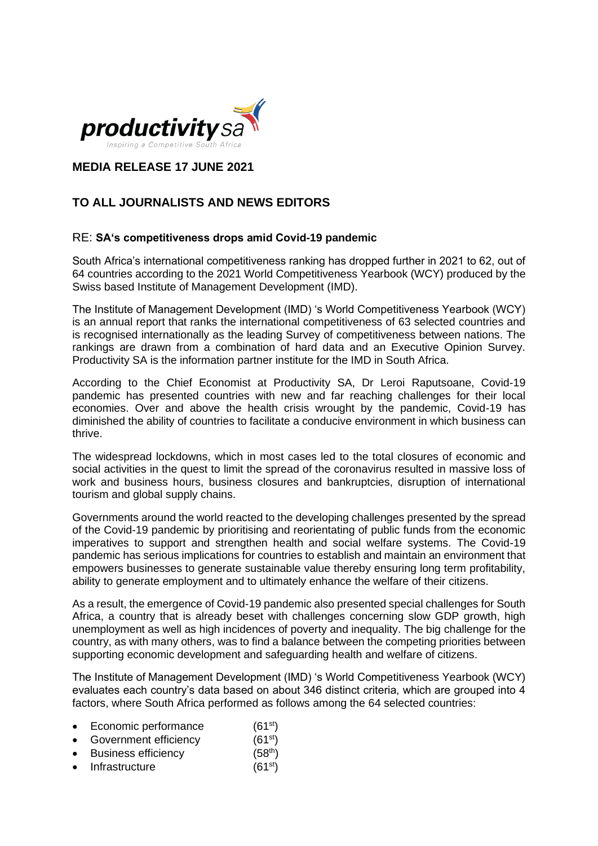

## **MEDIA RELEASE 17 JUNE 2021**

# **TO ALL JOURNALISTS AND NEWS EDITORS**

#### RE: **SA's competitiveness drops amid Covid-19 pandemic**

South Africa's international competitiveness ranking has dropped further in 2021 to 62, out of 64 countries according to the 2021 World Competitiveness Yearbook (WCY) produced by the Swiss based Institute of Management Development (IMD).

The Institute of Management Development (IMD) 's World Competitiveness Yearbook (WCY) is an annual report that ranks the international competitiveness of 63 selected countries and is recognised internationally as the leading Survey of competitiveness between nations. The rankings are drawn from a combination of hard data and an Executive Opinion Survey. Productivity SA is the information partner institute for the IMD in South Africa.

According to the Chief Economist at Productivity SA, Dr Leroi Raputsoane, Covid-19 pandemic has presented countries with new and far reaching challenges for their local economies. Over and above the health crisis wrought by the pandemic, Covid-19 has diminished the ability of countries to facilitate a conducive environment in which business can thrive.

The widespread lockdowns, which in most cases led to the total closures of economic and social activities in the quest to limit the spread of the coronavirus resulted in massive loss of work and business hours, business closures and bankruptcies, disruption of international tourism and global supply chains.

Governments around the world reacted to the developing challenges presented by the spread of the Covid-19 pandemic by prioritising and reorientating of public funds from the economic imperatives to support and strengthen health and social welfare systems. The Covid-19 pandemic has serious implications for countries to establish and maintain an environment that empowers businesses to generate sustainable value thereby ensuring long term profitability, ability to generate employment and to ultimately enhance the welfare of their citizens.

As a result, the emergence of Covid-19 pandemic also presented special challenges for South Africa, a country that is already beset with challenges concerning slow GDP growth, high unemployment as well as high incidences of poverty and inequality. The big challenge for the country, as with many others, was to find a balance between the competing priorities between supporting economic development and safeguarding health and welfare of citizens.

The Institute of Management Development (IMD) 's World Competitiveness Yearbook (WCY) evaluates each country's data based on about 346 distinct criteria, which are grouped into 4 factors, where South Africa performed as follows among the 64 selected countries:

- Economic performance (61<sup>st</sup>)
- Government efficiency (61<sup>st</sup>)
- Business efficiency  $(58<sup>th</sup>)$
- Infrastructure  $(61<sup>st</sup>)$